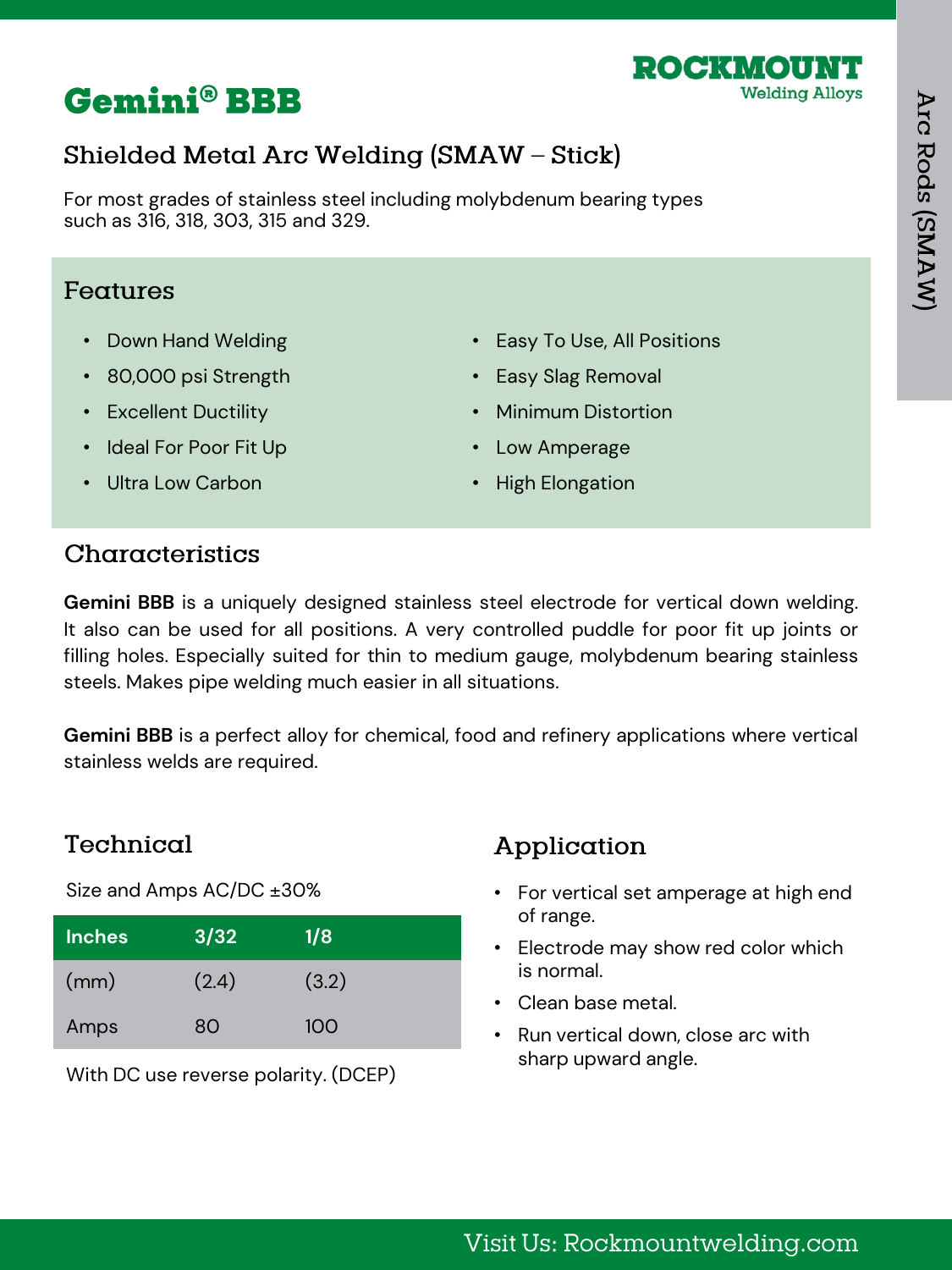

# **Gemini® BBB**

# Shielded Metal Arc Welding (SMAW - Stick)

For most grades of stainless steel including molybdenum bearing types such as 316, 318, 303, 315 and 329.

#### Features

- Down Hand Welding
- 80,000 psi Strength
- Excellent Ductility
- Ideal For Poor Fit Up
- Easy To Use, All Positions
- Easy Slag Removal
- Minimum Distortion
- Low Amperage

• Ultra Low Carbon

• High Elongation

### Characteristics

**Gemini BBB** is a uniquely designed stainless steel electrode for vertical down welding. It also can be used for all positions. A very controlled puddle for poor fit up joints or filling holes. Especially suited for thin to medium gauge, molybdenum bearing stainless steels. Makes pipe welding much easier in all situations.

**Gemini BBB** is a perfect alloy for chemical, food and refinery applications where vertical stainless welds are required.

### Technical

Size and Amps AC/DC ±30%

| <b>Inches</b> | 3/32  | 1/8   |
|---------------|-------|-------|
| (mm)          | (2.4) | (3.2) |
| Amps          | 80    | 100   |

With DC use reverse polarity. (DCEP)

- For vertical set amperage at high end of range.
- Electrode may show red color which is normal.
- Clean base metal.
- Run vertical down, close arc with sharp upward angle.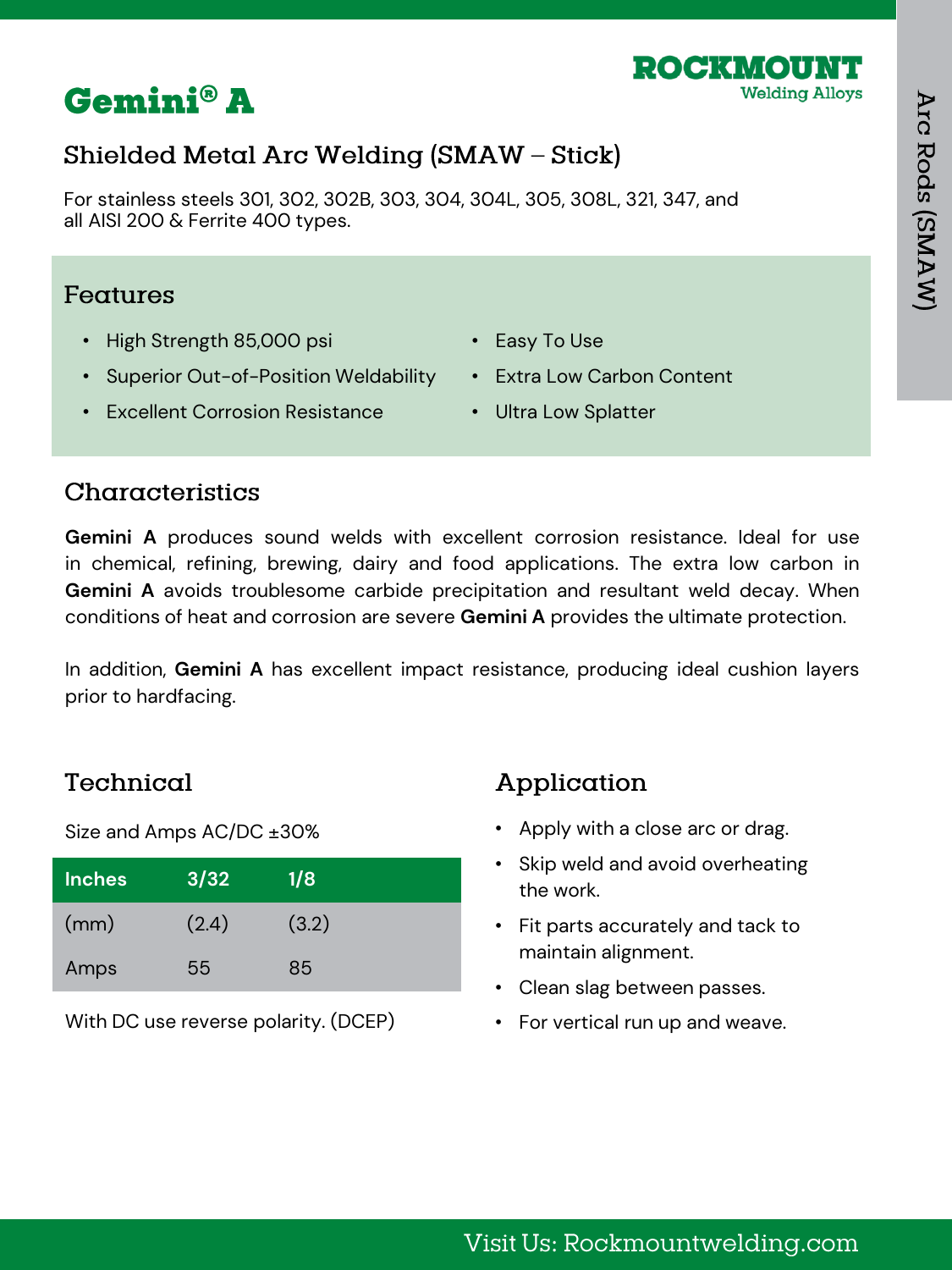



For stainless steels 301, 302, 302B, 303, 304, 304L, 305, 308L, 321, 347, and all AISI 200 & Ferrite 400 types.

#### Features

- High Strength 85,000 psi
- Superior Out-of-Position Weldability
- Easy To Use
- Extra Low Carbon Content
- Excellent Corrosion Resistance
- Ultra Low Splatter

#### Characteristics

**Gemini A** produces sound welds with excellent corrosion resistance. Ideal for use in chemical, refining, brewing, dairy and food applications. The extra low carbon in **Gemini A** avoids troublesome carbide precipitation and resultant weld decay. When conditions of heat and corrosion are severe **Gemini A** provides the ultimate protection.

In addition, **Gemini A** has excellent impact resistance, producing ideal cushion layers prior to hardfacing.

### Technical

Size and Amps AC/DC ±30%

| <b>Inches</b> | 3/32  | 1/8   |
|---------------|-------|-------|
| (mm)          | (2.4) | (3.2) |
| Amps          | 55    | 85    |

With DC use reverse polarity. (DCEP)

- Apply with a close arc or drag.
- Skip weld and avoid overheating the work.
- Fit parts accurately and tack to maintain alignment.
- Clean slag between passes.
- For vertical run up and weave.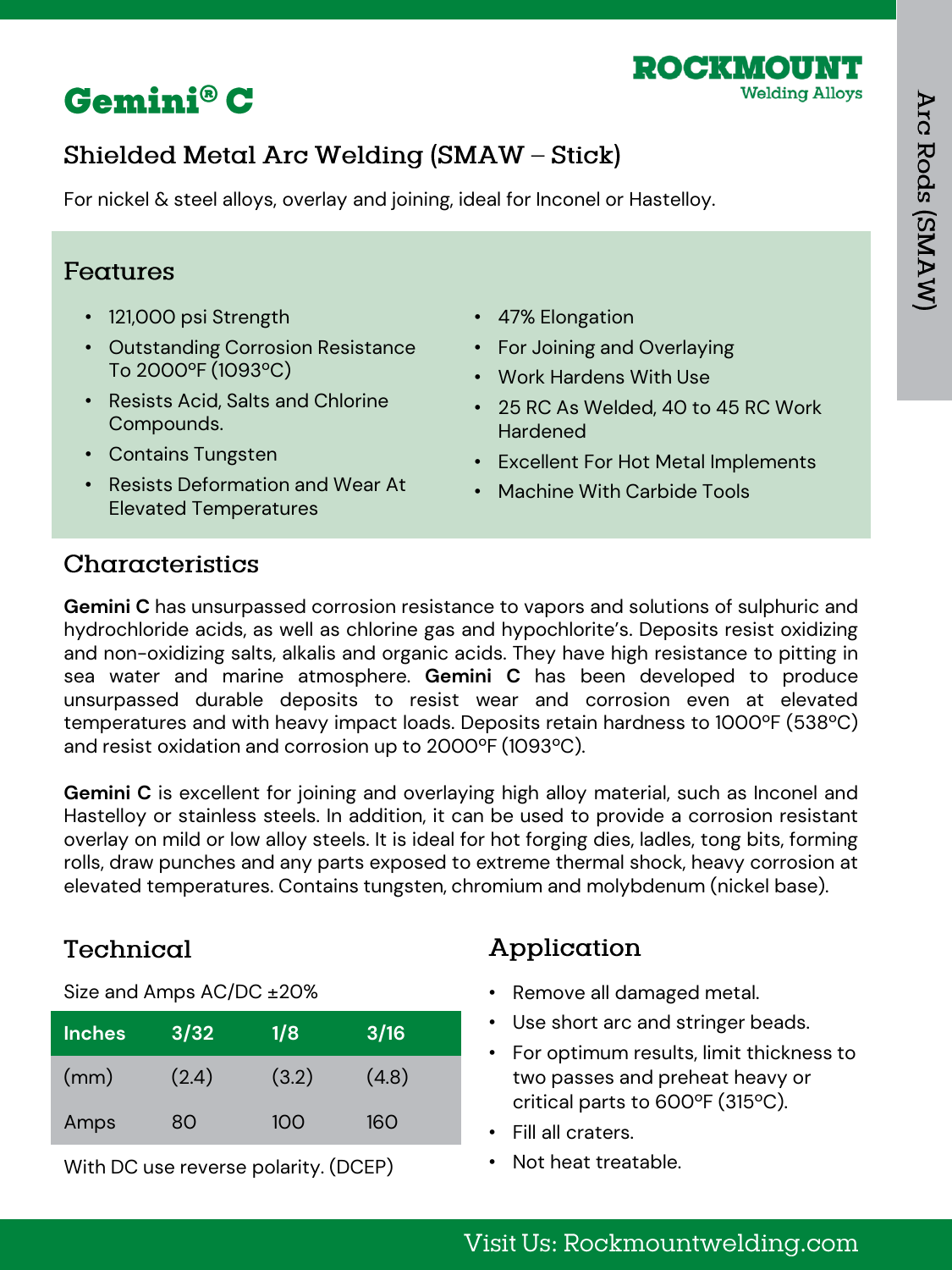



For nickel & steel alloys, overlay and joining, ideal for Inconel or Hastelloy.

#### Features

- 121,000 psi Strength
- Outstanding Corrosion Resistance To 2000ºF (1093ºC)
- Resists Acid, Salts and Chlorine Compounds.
- Contains Tungsten
- Resists Deformation and Wear At Elevated Temperatures
- 47% Elongation
- For Joining and Overlaying
- Work Hardens With Use
- 25 RC As Welded, 40 to 45 RC Work Hardened
- Excellent For Hot Metal Implements
- Machine With Carbide Tools

### Characteristics

**Gemini C** has unsurpassed corrosion resistance to vapors and solutions of sulphuric and hydrochloride acids, as well as chlorine gas and hypochlorite's. Deposits resist oxidizing and non-oxidizing salts, alkalis and organic acids. They have high resistance to pitting in sea water and marine atmosphere. **Gemini C** has been developed to produce unsurpassed durable deposits to resist wear and corrosion even at elevated temperatures and with heavy impact loads. Deposits retain hardness to 1000ºF (538ºC) and resist oxidation and corrosion up to 2000ºF (1093ºC).

**Gemini C** is excellent for joining and overlaying high alloy material, such as Inconel and Hastelloy or stainless steels. In addition, it can be used to provide a corrosion resistant overlay on mild or low alloy steels. It is ideal for hot forging dies, ladles, tong bits, forming rolls, draw punches and any parts exposed to extreme thermal shock, heavy corrosion at elevated temperatures. Contains tungsten, chromium and molybdenum (nickel base).

### Technical

Size and Amps AC/DC ±20%

| <b>Inches</b> | 3/32  | 1/8   | 3/16  |
|---------------|-------|-------|-------|
| (mm)          | (2.4) | (3.2) | (4.8) |
| Amps          | 80    | 100   | 160   |

With DC use reverse polarity. (DCEP)

- Remove all damaged metal.
- Use short arc and stringer beads.
- For optimum results, limit thickness to two passes and preheat heavy or critical parts to 600ºF (315ºC).
- Fill all craters.
- Not heat treatable.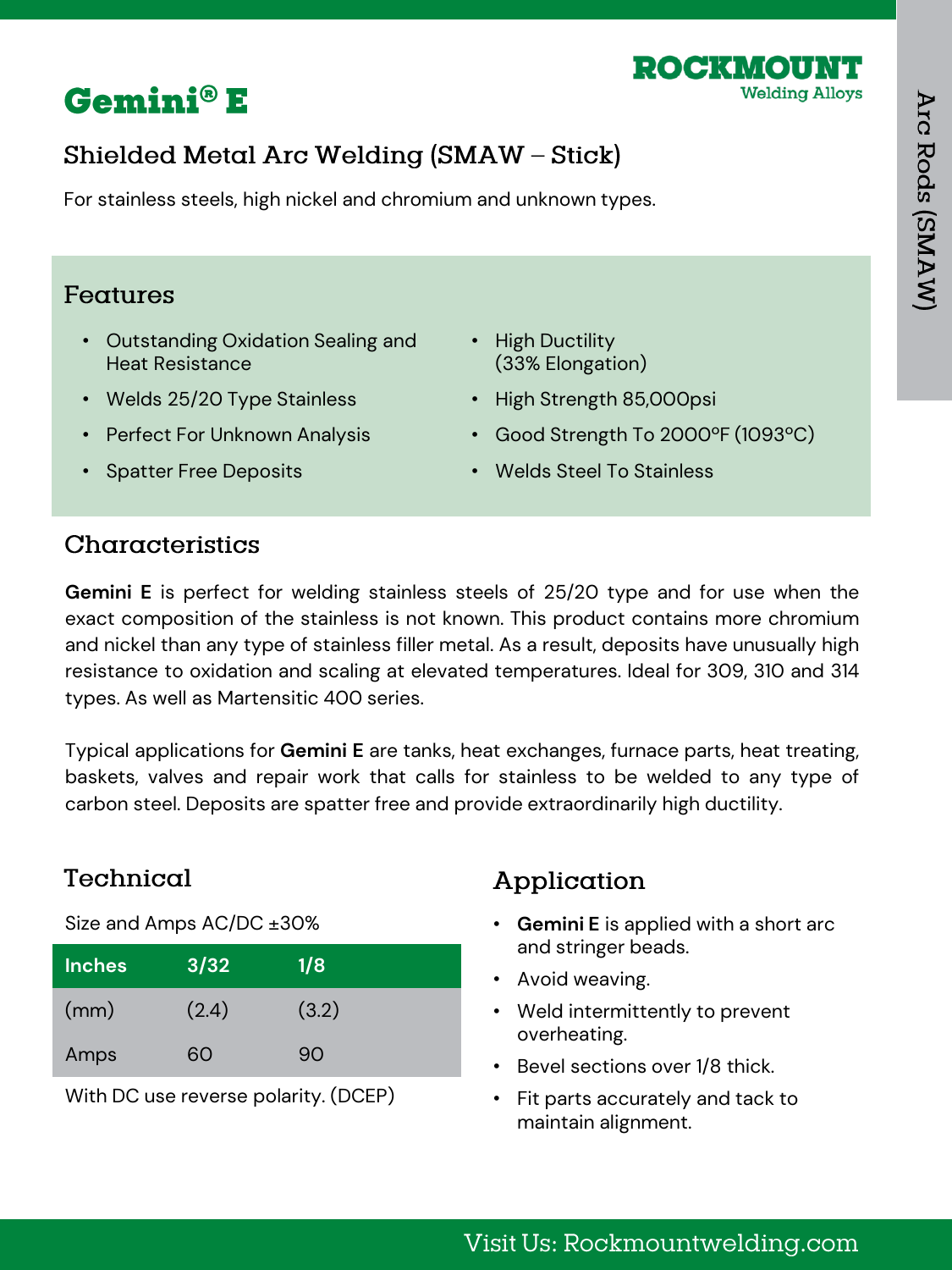



For stainless steels, high nickel and chromium and unknown types.

#### Features

- Outstanding Oxidation Sealing and Heat Resistance
- Welds 25/20 Type Stainless
- Perfect For Unknown Analysis
- Spatter Free Deposits
- High Ductility (33% Elongation)
- High Strength 85,000psi
- Good Strength To 2000ºF (1093ºC)
- Welds Steel To Stainless

#### Characteristics

**Gemini E** is perfect for welding stainless steels of 25/20 type and for use when the exact composition of the stainless is not known. This product contains more chromium and nickel than any type of stainless filler metal. As a result, deposits have unusually high resistance to oxidation and scaling at elevated temperatures. Ideal for 309, 310 and 314 types. As well as Martensitic 400 series.

Typical applications for **Gemini E** are tanks, heat exchanges, furnace parts, heat treating, baskets, valves and repair work that calls for stainless to be welded to any type of carbon steel. Deposits are spatter free and provide extraordinarily high ductility.

#### Technical

Size and Amps AC/DC ±30%

| <b>Inches</b> | 3/32  | 1/8   |
|---------------|-------|-------|
| (mm)          | (2.4) | (3.2) |
| Amps          | റെ    | 90    |

With DC use reverse polarity. (DCEP)

- **Gemini E** is applied with a short arc and stringer beads.
- Avoid weaving.
- Weld intermittently to prevent overheating.
- Bevel sections over 1/8 thick.
- Fit parts accurately and tack to maintain alignment.